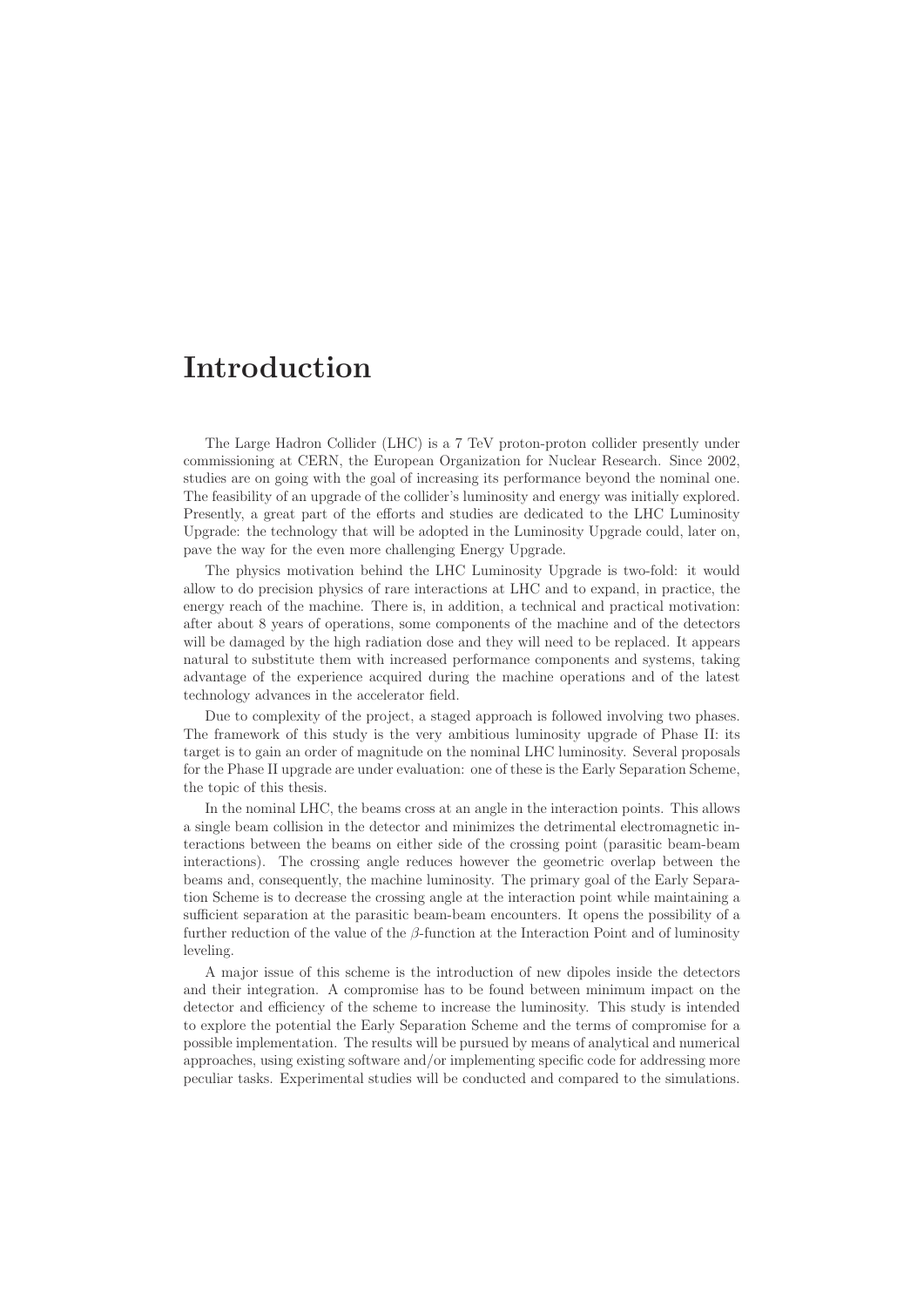## **Introduction**

The Large Hadron Collider (LHC) is a 7 TeV proton-proton collider presently under commissioning at CERN, the European Organization for Nuclear Research. Since 2002, studies are on going with the goal of increasing its performance beyond the nominal one. The feasibility of an upgrade of the collider's luminosity and energy was initially explored. Presently, a great part of the efforts and studies are dedicated to the LHC Luminosity Upgrade: the technology that will be adopted in the Luminosity Upgrade could, later on, pave the way for the even more challenging Energy Upgrade.

The physics motivation behind the LHC Luminosity Upgrade is two-fold: it would allow to do precision physics of rare interactions at LHC and to expand, in practice, the energy reach of the machine. There is, in addition, a technical and practical motivation: after about 8 years of operations, some components of the machine and of the detectors will be damaged by the high radiation dose and they will need to be replaced. It appears natural to substitute them with increased performance components and systems, taking advantage of the experience acquired during the machine operations and of the latest technology advances in the accelerator field.

Due to complexity of the project, a staged approach is followed involving two phases. The framework of this study is the very ambitious luminosity upgrade of Phase II: its target is to gain an order of magnitude on the nominal LHC luminosity. Several proposals for the Phase II upgrade are under evaluation: one of these is the Early Separation Scheme, the topic of this thesis.

In the nominal LHC, the beams cross at an angle in the interaction points. This allows a single beam collision in the detector and minimizes the detrimental electromagnetic interactions between the beams on either side of the crossing point (parasitic beam-beam interactions). The crossing angle reduces however the geometric overlap between the beams and, consequently, the machine luminosity. The primary goal of the Early Separation Scheme is to decrease the crossing angle at the interaction point while maintaining a sufficient separation at the parasitic beam-beam encounters. It opens the possibility of a further reduction of the value of the  $\beta$ -function at the Interaction Point and of luminosity leveling.

A major issue of this scheme is the introduction of new dipoles inside the detectors and their integration. A compromise has to be found between minimum impact on the detector and efficiency of the scheme to increase the luminosity. This study is intended to explore the potential the Early Separation Scheme and the terms of compromise for a possible implementation. The results will be pursued by means of analytical and numerical approaches, using existing software and/or implementing specific code for addressing more peculiar tasks. Experimental studies will be conducted and compared to the simulations.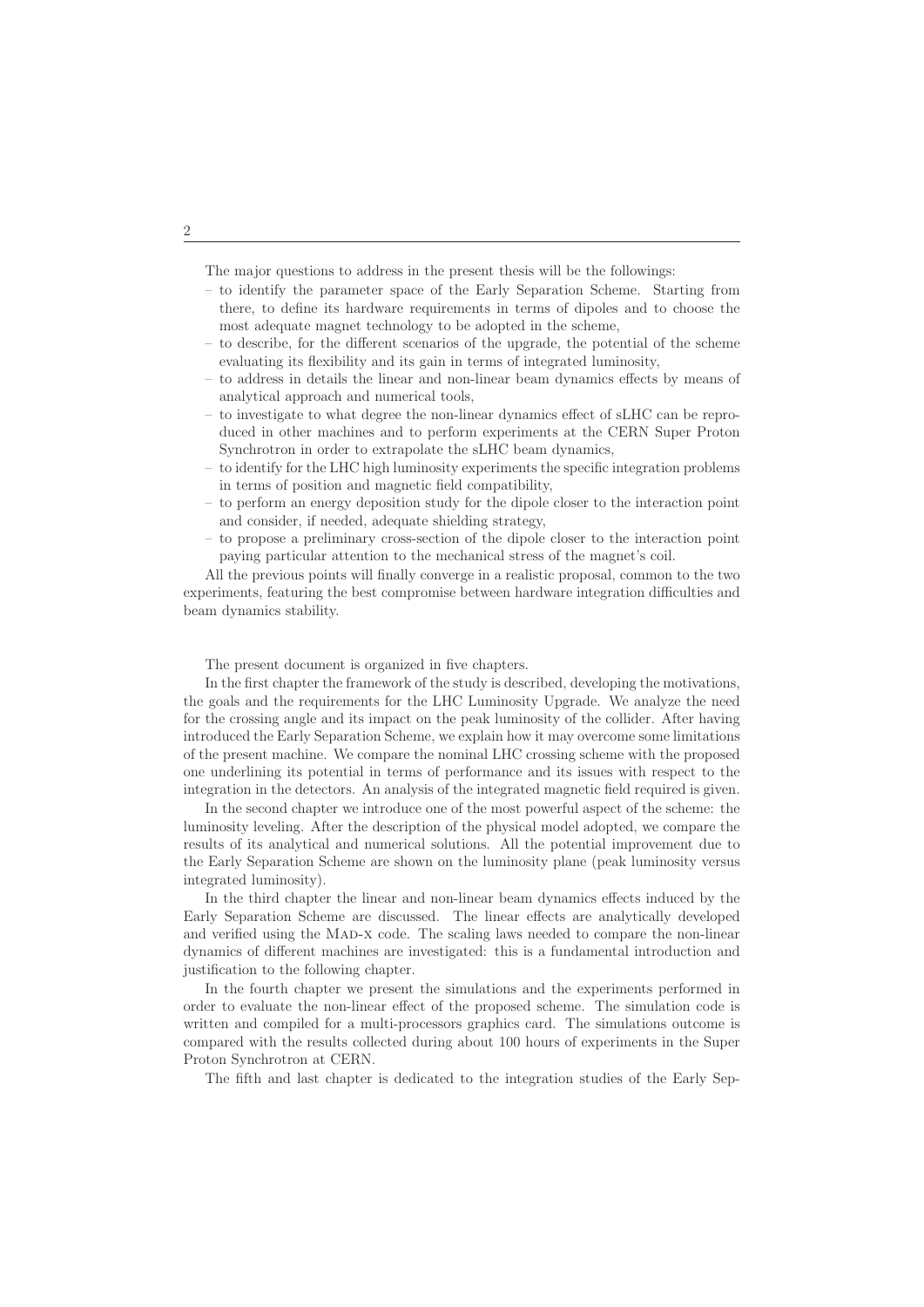The major questions to address in the present thesis will be the followings:

- to identify the parameter space of the Early Separation Scheme. Starting from there, to define its hardware requirements in terms of dipoles and to choose the most adequate magnet technology to be adopted in the scheme,
- to describe, for the different scenarios of the upgrade, the potential of the scheme evaluating its flexibility and its gain in terms of integrated luminosity,
- to address in details the linear and non-linear beam dynamics effects by means of analytical approach and numerical tools,
- to investigate to what degree the non-linear dynamics effect of sLHC can be reproduced in other machines and to perform experiments at the CERN Super Proton Synchrotron in order to extrapolate the sLHC beam dynamics,
- to identify for the LHC high luminosity experiments the specific integration problems in terms of position and magnetic field compatibility,
- to perform an energy deposition study for the dipole closer to the interaction point and consider, if needed, adequate shielding strategy,
- to propose a preliminary cross-section of the dipole closer to the interaction point paying particular attention to the mechanical stress of the magnet's coil.

All the previous points will finally converge in a realistic proposal, common to the two experiments, featuring the best compromise between hardware integration difficulties and beam dynamics stability.

The present document is organized in five chapters.

In the first chapter the framework of the study is described, developing the motivations, the goals and the requirements for the LHC Luminosity Upgrade. We analyze the need for the crossing angle and its impact on the peak luminosity of the collider. After having introduced the Early Separation Scheme, we explain how it may overcome some limitations of the present machine. We compare the nominal LHC crossing scheme with the proposed one underlining its potential in terms of performance and its issues with respect to the integration in the detectors. An analysis of the integrated magnetic field required is given.

In the second chapter we introduce one of the most powerful aspect of the scheme: the luminosity leveling. After the description of the physical model adopted, we compare the results of its analytical and numerical solutions. All the potential improvement due to the Early Separation Scheme are shown on the luminosity plane (peak luminosity versus integrated luminosity).

In the third chapter the linear and non-linear beam dynamics effects induced by the Early Separation Scheme are discussed. The linear effects are analytically developed and verified using the MAD-X code. The scaling laws needed to compare the non-linear dynamics of different machines are investigated: this is a fundamental introduction and justification to the following chapter.

In the fourth chapter we present the simulations and the experiments performed in order to evaluate the non-linear effect of the proposed scheme. The simulation code is written and compiled for a multi-processors graphics card. The simulations outcome is compared with the results collected during about 100 hours of experiments in the Super Proton Synchrotron at CERN.

The fifth and last chapter is dedicated to the integration studies of the Early Sep-